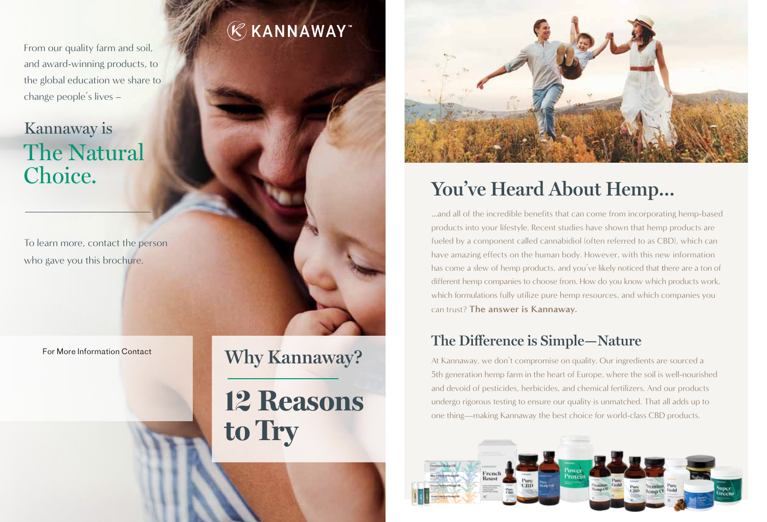From our quality farm and soil, and award-winning products, to the global education we share to change people's lives –

## Kannaway is The Natural Choice.

To learn more, contact the person who gave you this brochure.

For More Information Contact **Why Kannaway?** 

# **RKANNAWAY**

12 **Reasons**

**to Try** 



# **You've Heard About Hemp…**

…and all of the incredible benefits that can come from incorporating hemp-based products into your lifestyle. Recent studies have shown that hemp products are fueled by a component called cannabidiol (often referred to as CBD), which can have amazing effects on the human body. However, with this new information has come a slew of hemp products, and you've likely noticed that there are a ton of different hemp companies to choose from. How do you know which products work, which formulations fully utilize pure hemp resources, and which companies you can trust? **The answer is Kannaway.**

## **The Difference is Simple—Nature**

At Kannaway, we don't compromise on quality. Our ingredients are sourced a 5th generation hemp farm in the heart of Europe, where the soil is well-nourished and devoid of pesticides, herbicides, and chemical fertilizers. And our products undergo rigorous testing to ensure our quality is unmatched. That all adds up to one thing—making Kannaway the best choice for world-class CBD products.